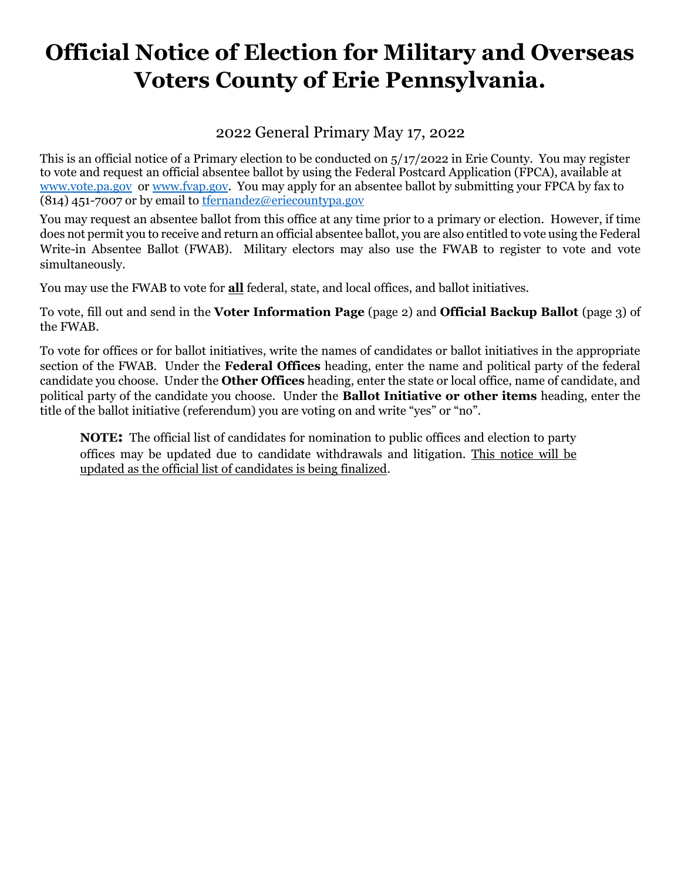# **Official Notice of Election for Military and Overseas Voters County of Erie Pennsylvania.**

### 2022 General Primary May 17, 2022

This is an official notice of a Primary election to be conducted on 5/17/2022 in Erie County. You may register to vote and request an official absentee ballot by using the Federal Postcard Application (FPCA), available at [www.vote.pa.gov](http://www.vote.pa.gov/) or [www.fvap.gov.](http://www.fvap.gov/) You may apply for an absentee ballot by submitting your FPCA by fax to (814) 451-7007 or by email to [tfernandez@eriecountypa.gov](mailto:tfernandez@eriecountypa.gov)

You may request an absentee ballot from this office at any time prior to a primary or election. However, if time does not permit you to receive and return an official absentee ballot, you are also entitled to vote using the Federal Write-in Absentee Ballot (FWAB). Military electors may also use the FWAB to register to vote and vote simultaneously.

You may use the FWAB to vote for **all** federal, state, and local offices, and ballot initiatives.

To vote, fill out and send in the **Voter Information Page** (page 2) and **Official Backup Ballot** (page 3) of the FWAB.

To vote for offices or for ballot initiatives, write the names of candidates or ballot initiatives in the appropriate section of the FWAB. Under the **Federal Offices** heading, enter the name and political party of the federal candidate you choose. Under the **Other Offices** heading, enter the state or local office, name of candidate, and political party of the candidate you choose. Under the **Ballot Initiative or other items** heading, enter the title of the ballot initiative (referendum) you are voting on and write "yes" or "no".

**NOTE:** The official list of candidates for nomination to public offices and election to party offices may be updated due to candidate withdrawals and litigation. This notice will be updated as the official list of candidates is being finalized.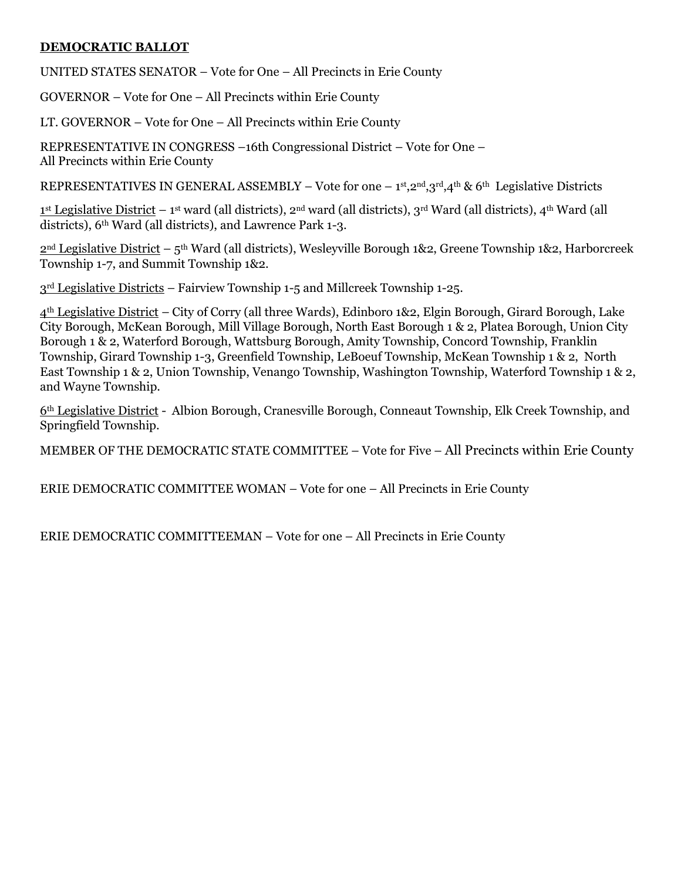#### **DEMOCRATIC BALLOT**

UNITED STATES SENATOR – Vote for One – All Precincts in Erie County

GOVERNOR – Vote for One – All Precincts within Erie County

LT. GOVERNOR – Vote for One – All Precincts within Erie County

REPRESENTATIVE IN CONGRESS –16th Congressional District – Vote for One – All Precincts within Erie County

REPRESENTATIVES IN GENERAL ASSEMBLY – Vote for one – 1st, 2nd, 3rd, 4th & 6th Legislative Districts

1<sup>st</sup> Legislative District – 1<sup>st</sup> ward (all districts), 2<sup>nd</sup> ward (all districts), 3<sup>rd</sup> Ward (all districts), 4<sup>th</sup> Ward (all districts), 6<sup>th</sup> Ward (all districts), and Lawrence Park 1-3.

2<sup>nd</sup> Legislative District – 5<sup>th</sup> Ward (all districts), Wesleyville Borough 1&2, Greene Township 1&2, Harborcreek Township 1-7, and Summit Township 1&2.

3rd Legislative Districts – Fairview Township 1-5 and Millcreek Township 1-25.

4th Legislative District – City of Corry (all three Wards), Edinboro 1&2, Elgin Borough, Girard Borough, Lake City Borough, McKean Borough, Mill Village Borough, North East Borough 1 & 2, Platea Borough, Union City Borough 1 & 2, Waterford Borough, Wattsburg Borough, Amity Township, Concord Township, Franklin Township, Girard Township 1-3, Greenfield Township, LeBoeuf Township, McKean Township 1 & 2, North East Township 1 & 2, Union Township, Venango Township, Washington Township, Waterford Township 1 & 2, and Wayne Township.

6th Legislative District - Albion Borough, Cranesville Borough, Conneaut Township, Elk Creek Township, and Springfield Township.

MEMBER OF THE DEMOCRATIC STATE COMMITTEE – Vote for Five – All Precincts within Erie County

ERIE DEMOCRATIC COMMITTEE WOMAN – Vote for one – All Precincts in Erie County

ERIE DEMOCRATIC COMMITTEEMAN – Vote for one – All Precincts in Erie County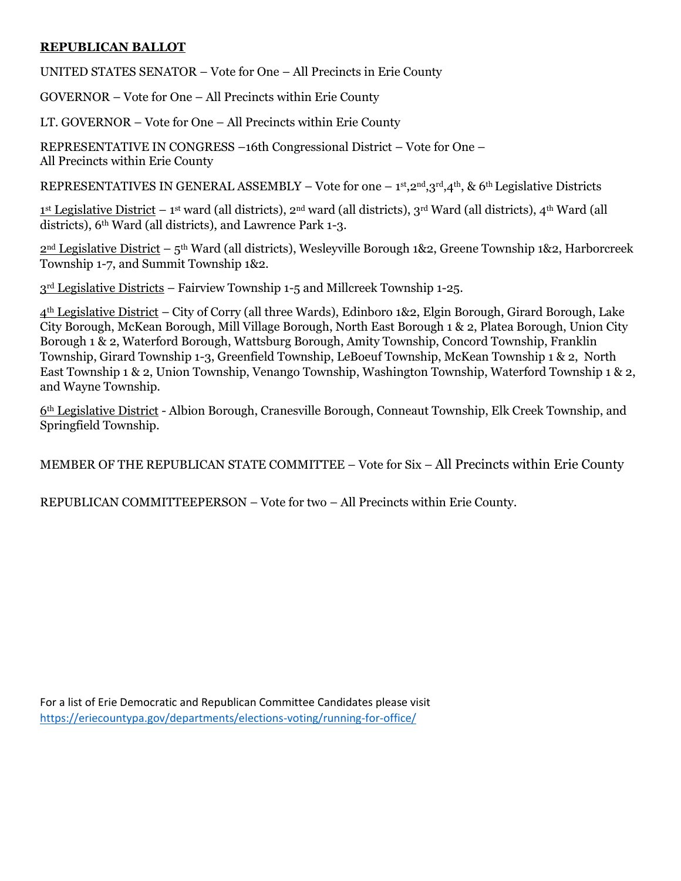#### **REPUBLICAN BALLOT**

UNITED STATES SENATOR – Vote for One – All Precincts in Erie County

GOVERNOR – Vote for One – All Precincts within Erie County

LT. GOVERNOR – Vote for One – All Precincts within Erie County

REPRESENTATIVE IN CONGRESS –16th Congressional District – Vote for One – All Precincts within Erie County

REPRESENTATIVES IN GENERAL ASSEMBLY – Vote for one – 1st, 2nd, 3rd, 4th, & 6th Legislative Districts

1<sup>st</sup> Legislative District – 1<sup>st</sup> ward (all districts), 2<sup>nd</sup> ward (all districts), 3<sup>rd</sup> Ward (all districts), 4<sup>th</sup> Ward (all districts), 6<sup>th</sup> Ward (all districts), and Lawrence Park 1-3.

2<sup>nd</sup> Legislative District – 5<sup>th</sup> Ward (all districts), Wesleyville Borough 1&2, Greene Township 1&2, Harborcreek Township 1-7, and Summit Township 1&2.

3rd Legislative Districts – Fairview Township 1-5 and Millcreek Township 1-25.

4th Legislative District – City of Corry (all three Wards), Edinboro 1&2, Elgin Borough, Girard Borough, Lake City Borough, McKean Borough, Mill Village Borough, North East Borough 1 & 2, Platea Borough, Union City Borough 1 & 2, Waterford Borough, Wattsburg Borough, Amity Township, Concord Township, Franklin Township, Girard Township 1-3, Greenfield Township, LeBoeuf Township, McKean Township 1 & 2, North East Township 1 & 2, Union Township, Venango Township, Washington Township, Waterford Township 1 & 2, and Wayne Township.

6th Legislative District - Albion Borough, Cranesville Borough, Conneaut Township, Elk Creek Township, and Springfield Township.

MEMBER OF THE REPUBLICAN STATE COMMITTEE – Vote for Six – All Precincts within Erie County

REPUBLICAN COMMITTEEPERSON – Vote for two – All Precincts within Erie County.

For a list of Erie Democratic and Republican Committee Candidates please visit <https://eriecountypa.gov/departments/elections-voting/running-for-office/>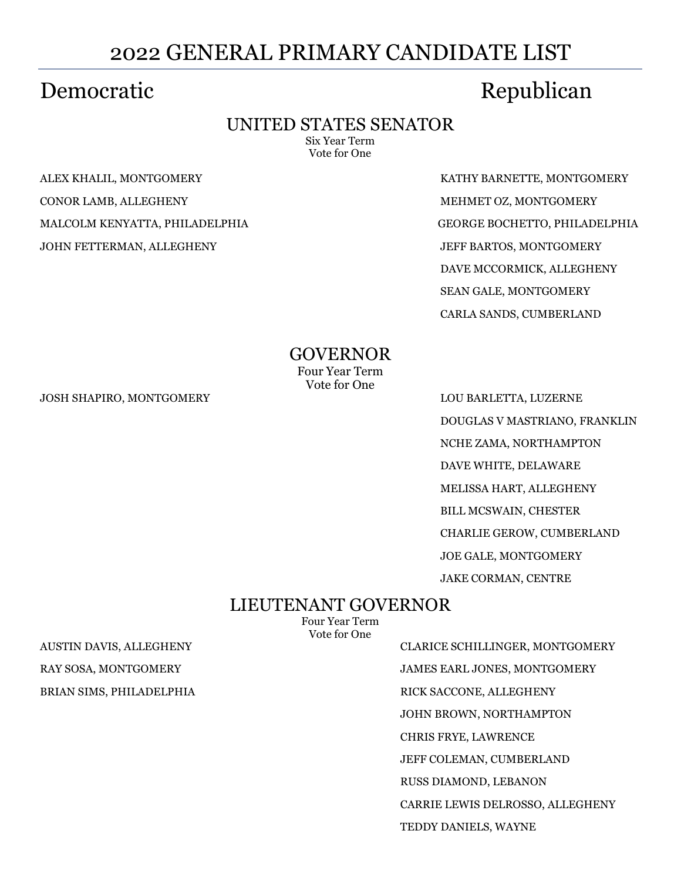# 2022 GENERAL PRIMARY CANDIDATE LIST

### UNITED STATES SENATOR

Six Year Term Vote for One

JOHN FETTERMAN, ALLEGHENY JEFF BARTOS, MONTGOMERY

Democratic Republican

ALEX KHALIL, MONTGOMERY KATHY BARNETTE, MONTGOMERY CONOR LAMB, ALLEGHENY GALLEGHENY AND THE MEHMET OZ, MONTGOMERY MALCOLM KENYATTA, PHILADELPHIA GEORGE BOCHETTO, PHILADELPHIA DAVE MCCORMICK, ALLEGHENY SEAN GALE, MONTGOMERY CARLA SANDS, CUMBERLAND

> GOVERNOR Four Year Term

Vote for One

JOSH SHAPIRO, MONTGOMERY LOU BARLETTA, LUZERNE

DOUGLAS V MASTRIANO, FRANKLIN NCHE ZAMA, NORTHAMPTON DAVE WHITE, DELAWARE MELISSA HART, ALLEGHENY BILL MCSWAIN, CHESTER CHARLIE GEROW, CUMBERLAND JOE GALE, MONTGOMERY JAKE CORMAN, CENTRE

### LIEUTENANT GOVERNOR

Four Year Term Vote for One

AUSTIN DAVIS, ALLEGHENY CLARICE SCHILLINGER, MONTGOMERY RAY SOSA, MONTGOMERY JAMES EARL JONES, MONTGOMERY BRIAN SIMS, PHILADELPHIA RICK SACCONE, ALLEGHENY JOHN BROWN, NORTHAMPTON CHRIS FRYE, LAWRENCE JEFF COLEMAN, CUMBERLAND RUSS DIAMOND, LEBANON CARRIE LEWIS DELROSSO, ALLEGHENY TEDDY DANIELS, WAYNE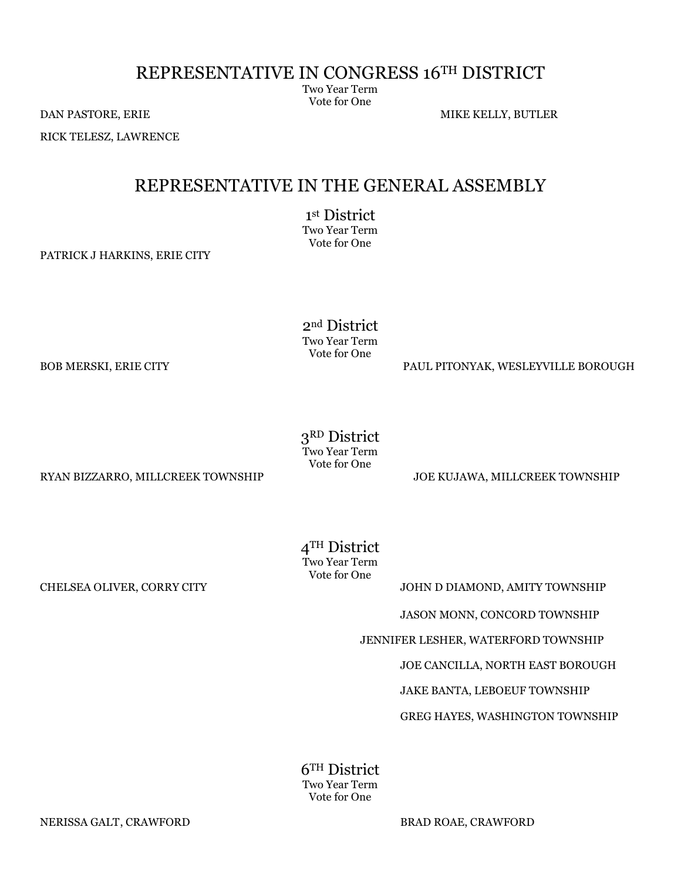### REPRESENTATIVE IN CONGRESS 16TH DISTRICT

Two Year Term Vote for One

DAN PASTORE, ERIE MIKE KELLY, BUTLER

RICK TELESZ, LAWRENCE

### REPRESENTATIVE IN THE GENERAL ASSEMBLY

1 st District Two Year Term

Vote for One

PATRICK J HARKINS, ERIE CITY

2nd District Two Year Term Vote for One

BOB MERSKI, ERIE CITY PAUL PITONYAK, WESLEYVILLE BOROUGH

3RD District Two Year Term Vote for One

RYAN BIZZARRO, MILLCREEK TOWNSHIP JOE KUJAWA, MILLCREEK TOWNSHIP

4TH District Two Year Term Vote for One

CHELSEA OLIVER, CORRY CITY GALLERY CORPORATION AND JOHN DIAMOND, AMITY TOWNSHIP

JASON MONN, CONCORD TOWNSHIP

JENNIFER LESHER, WATERFORD TOWNSHIP

JOE CANCILLA, NORTH EAST BOROUGH

JAKE BANTA, LEBOEUF TOWNSHIP

GREG HAYES, WASHINGTON TOWNSHIP

6TH District Two Year Term Vote for One

NERISSA GALT, CRAWFORD BRAD ROAE, CRAWFORD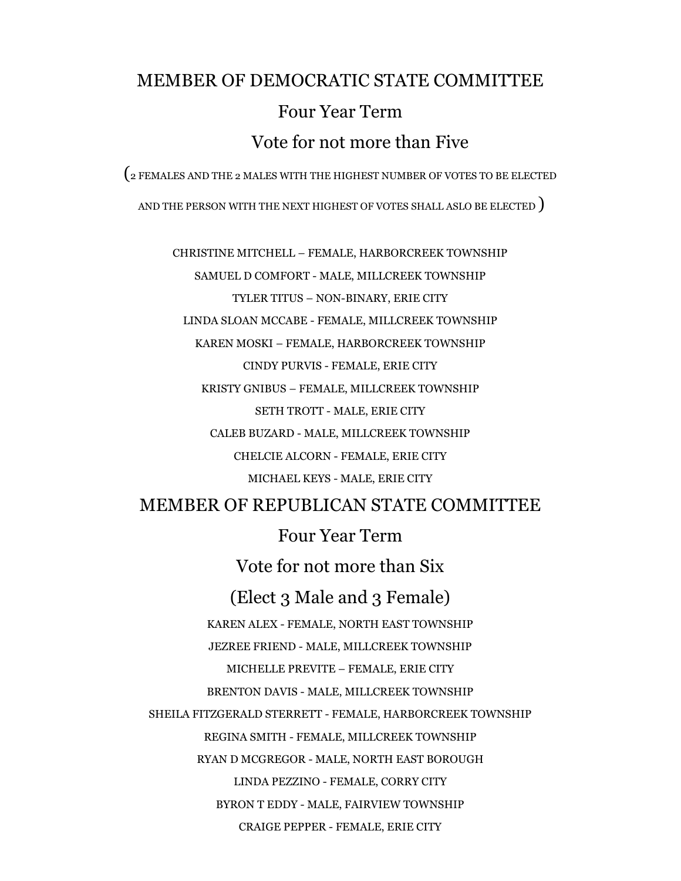# MEMBER OF DEMOCRATIC STATE COMMITTEE Four Year Term Vote for not more than Five

(2 FEMALES AND THE 2 MALES WITH THE HIGHEST NUMBER OF VOTES TO BE ELECTED

AND THE PERSON WITH THE NEXT HIGHEST OF VOTES SHALL ASLO BE ELECTED )

CHRISTINE MITCHELL – FEMALE, HARBORCREEK TOWNSHIP SAMUEL D COMFORT - MALE, MILLCREEK TOWNSHIP TYLER TITUS – NON-BINARY, ERIE CITY LINDA SLOAN MCCABE - FEMALE, MILLCREEK TOWNSHIP KAREN MOSKI – FEMALE, HARBORCREEK TOWNSHIP CINDY PURVIS - FEMALE, ERIE CITY KRISTY GNIBUS – FEMALE, MILLCREEK TOWNSHIP SETH TROTT - MALE, ERIE CITY CALEB BUZARD - MALE, MILLCREEK TOWNSHIP CHELCIE ALCORN - FEMALE, ERIE CITY MICHAEL KEYS - MALE, ERIE CITY

MEMBER OF REPUBLICAN STATE COMMITTEE

Four Year Term

Vote for not more than Six (Elect 3 Male and 3 Female) KAREN ALEX - FEMALE, NORTH EAST TOWNSHIP JEZREE FRIEND - MALE, MILLCREEK TOWNSHIP MICHELLE PREVITE – FEMALE, ERIE CITY BRENTON DAVIS - MALE, MILLCREEK TOWNSHIP SHEILA FITZGERALD STERRETT - FEMALE, HARBORCREEK TOWNSHIP REGINA SMITH - FEMALE, MILLCREEK TOWNSHIP RYAN D MCGREGOR - MALE, NORTH EAST BOROUGH LINDA PEZZINO - FEMALE, CORRY CITY BYRON T EDDY - MALE, FAIRVIEW TOWNSHIP CRAIGE PEPPER - FEMALE, ERIE CITY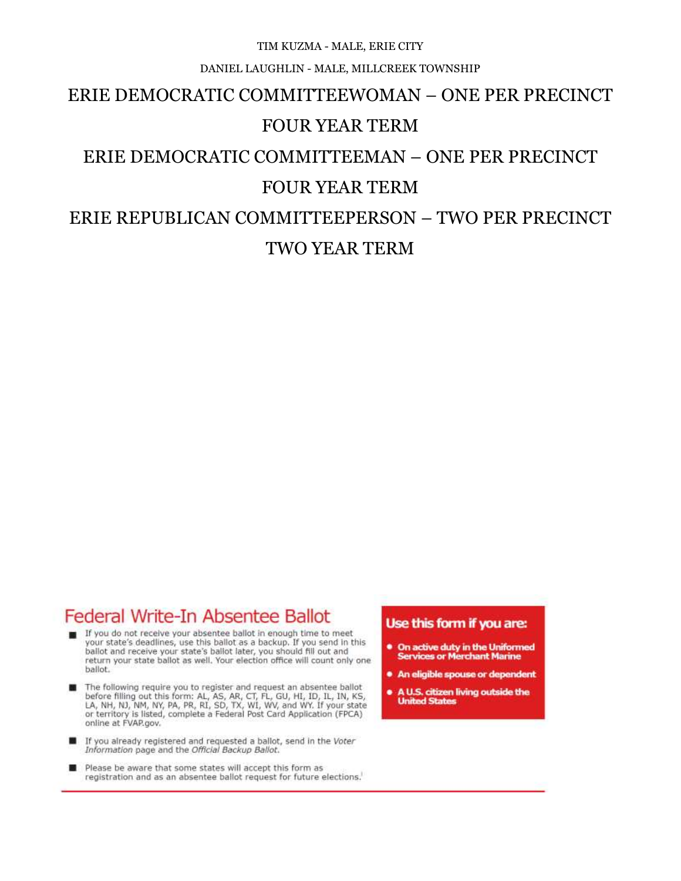#### TIM KUZMA - MALE, ERIE CITY

#### DANIEL LAUGHLIN - MALE, MILLCREEK TOWNSHIP

### ERIE DEMOCRATIC COMMITTEEWOMAN – ONE PER PRECINCT

#### FOUR YEAR TERM

# ERIE DEMOCRATIC COMMITTEEMAN – ONE PER PRECINCT

### FOUR YEAR TERM

# ERIE REPUBLICAN COMMITTEEPERSON – TWO PER PRECINCT TWO YEAR TERM

### Federal Write-In Absentee Ballot

- If you do not receive your absentee ballot in enough time to meet your state's deadlines, use this ballot as a backup. If you send in this ballot and receive your state's ballot later, you should fill out and return your state ballot as well. Your election office will count only one ballot.
- The following require you to register and request an absentee ballot before filling out this form: AL, AS, AR, CT, FL, GU, HI, ID, IL, IN, KS, LA, NH, NJ, NM, NY, PA, PR, RI, SD, TX, WI, WV, and WY. If your state or territory is listed, complete a Federal Post Card Application (FPCA) online at FVAP.gov.
- If you already registered and requested a ballot, send in the Voter<br>Information page and the Official Backup Ballot.
- Please be aware that some states will accept this form as registration and as an absentee ballot request for future elections.

#### Use this form if you are:

- . On active duty in the Uniformed<br>Services or Merchant Marine
- An eligible spouse or dependent
- . A U.S. citizen living outside the **United States**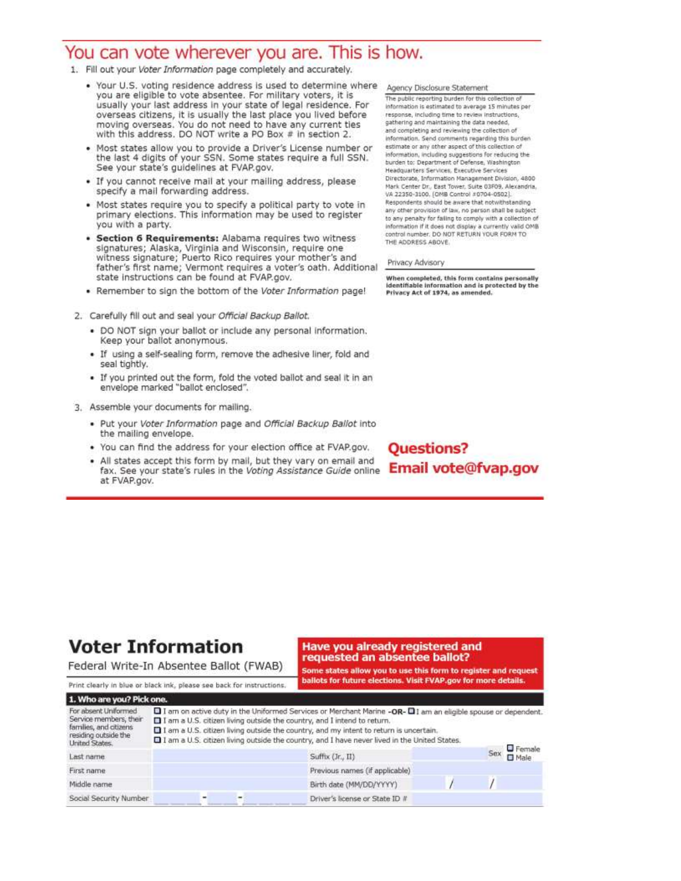### You can vote wherever you are. This is how.

- 1. Fill out your Voter Information page completely and accurately.
	- . Your U.S. voting residence address is used to determine where you are eligible to vote absentee. For military voters, it is usually your last address in your state of legal residence. For overseas citizens, it is usually the last place you lived before<br>moving overseas. You do not need to have any current ties with this address. DO NOT write a PO Box # in section 2.
	- . Most states allow you to provide a Driver's License number or the last 4 digits of your SSN. Some states require a full SSN. See your state's guidelines at FVAP.gov.
	- . If you cannot receive mail at your mailing address, please specify a mail forwarding address.
	- . Most states require you to specify a political party to vote in primary elections. This information may be used to register you with a party.
	- · Section 6 Requirements: Alabama requires two witness signatures; Alaska, Virginia and Wisconsin, require one witness signature; Puerto Rico requires your mother's and father's first name; Vermont requires a voter's oath. Additional state instructions can be found at FVAP.gov.
	- . Remember to sign the bottom of the Voter Information page!
- 2. Carefully fill out and seal your Official Backup Ballot.
	- . DO NOT sign your ballot or include any personal information. Keep your ballot anonymous.
	- . If using a self-sealing form, remove the adhesive liner, fold and seal tightly.
	- . If you printed out the form, fold the voted ballot and seal it in an envelope marked "ballot enclosed".
- 3. Assemble your documents for mailing.
	- . Put your Voter Information page and Official Backup Ballot into the mailing envelope.
	- . You can find the address for your election office at FVAP.gov.
	- All states accept this form by mail, but they vary on email and fax. See your state's rules in the Voting Assistance Guide online at FVAP.gov.

Agency Disclosure Statement

The public reporting burden for this collection of information is estimated to average 15 minutes per response, including time to review instructions, gathering and maintaining the data needed, and completing and reviewing the collection of information. Send comments regarding this burden estimate or any other aspect of this collection of information, including suggestions for reducing the<br>burden to: Department of Defense, Washington Headquarters Services, Executive Services Directorate, Information Management Division, 4800 Mark Center Dr., East Tower, Suite 03F09, Alexandria. VA 22350-3100. (OMB Control #0704-0502). Respondents should be aware that notwithstanding. any other provision of law, no person shall be subject to any penalty for failing to comply with a collection of information if it does not display a currently valid OMB control number. DO NOT RETURN YOUR FORM TO THE ADDRESS ABOVE.

Privacy Advisory

When completed, this form contains personally<br>identifiable information and is protected by the Privacy Act of 1974, as amended.

**Questions?** Email vote@fvap.gov

## **Voter Information**

Social Security Number

requested an absentee ballot?

Driver's license or State ID #

Federal Write-In Absentee Ballot (FWAB)

# Have you already registered and

Some states allow you to use this form to register and request

ballots for future elections. Visit FVAP.gov for more details. Print clearly in blue or black ink, please see back for instructions. 1. Who are you? Pick one. For absent Uniformed I am on active duty in the Uniformed Services or Merchant Marine -OR- II am an eligible spouse or dependent. Service members, their I I am a U.S. citizen living outside the country, and I intend to return. families, and otizens I am a U.S. citizen living outside the country, and my intent to return is uncertain. residing outside the 1 am a U.S. citizen living outside the country, and I have never lived in the United States. **United States**  $\Box$  Female Sex Last name Suffix (Jr., II)  $\square$  Male First name Previous names (if applicable) Middle name Birth date (MM/DD/YYYY)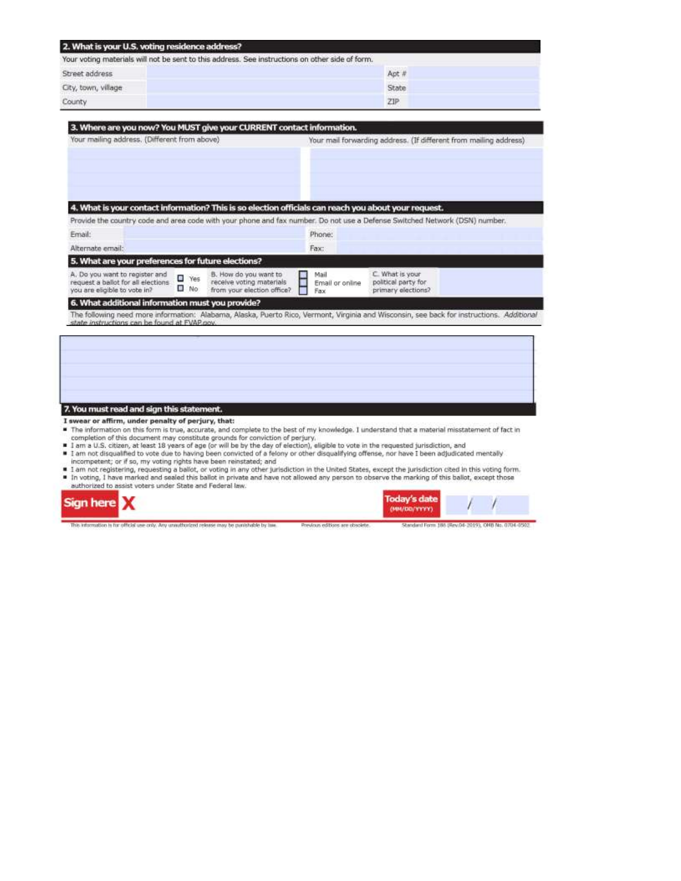| 2. What is your U.S. voting residence address?<br>Your voting materials will not be sent to this address. See instructions on other side of form.<br>state and the state of the state and the state of the state of the state of the state of the state of the state of the |       |  |  |  |  |
|-----------------------------------------------------------------------------------------------------------------------------------------------------------------------------------------------------------------------------------------------------------------------------|-------|--|--|--|--|
|                                                                                                                                                                                                                                                                             |       |  |  |  |  |
| City, town, village                                                                                                                                                                                                                                                         | State |  |  |  |  |
| County                                                                                                                                                                                                                                                                      | 21P   |  |  |  |  |

| Your mailing address. (Different from above)                                                                                                                                                                                       |                 | Your mail forwarding address. (If different from mailing address)               |                                |                                                              |  |
|------------------------------------------------------------------------------------------------------------------------------------------------------------------------------------------------------------------------------------|-----------------|---------------------------------------------------------------------------------|--------------------------------|--------------------------------------------------------------|--|
| 4. What is your contact information? This is so election officials can reach you about your request.<br>Provide the country code and area code with your phone and fax number. Do not use a Defense Switched Network (DSN) number. |                 |                                                                                 | Phone:                         |                                                              |  |
| Email:                                                                                                                                                                                                                             |                 |                                                                                 |                                |                                                              |  |
| Alternate email:                                                                                                                                                                                                                   |                 |                                                                                 | Fax:                           |                                                              |  |
| 5. What are your preferences for future elections?                                                                                                                                                                                 |                 |                                                                                 |                                |                                                              |  |
| A. Do you want to register and<br>request a ballot for all elections<br>you are eligible to vote in?                                                                                                                               | e<br>Yes<br>No. | B. How do you want to<br>receive voting materials<br>from your election office? | Mail<br>Email or online<br>Fax | C. What is your<br>political party for<br>primary elections? |  |
| 6. What additional information must you provide?                                                                                                                                                                                   |                 |                                                                                 |                                |                                                              |  |
| The following need more information: Alabama, Alaska, Puerto Rico, Vermont, Virginia and Wisconsin, see back for instructions. Additional                                                                                          |                 |                                                                                 |                                |                                                              |  |
| state instructions can be found at FVAP.cov.                                                                                                                                                                                       |                 |                                                                                 |                                |                                                              |  |

#### 7. You must read and sign this statement.

- I swear or affirm, under penalty of perjury, that:
- The information on this form is true, accurate, and complete to the best of my knowledge. I understand that a material misstatement of fact in<br>completion of this document may constitute grounds for conviction of perjury.<br>I
- 
- If am not disqualified to vote due to having been convicted of a felony or other disqualifying offense, nor have I been adjudicated mentally incompetent; or if so, my voting rights have been reinstated; and
- I am not registering, requesting a ballot, or voting in any other jurisdiction in the United States, except the jurisdiction oted in this voting form.<br>■ In voting, I have marked and sealed this ballot in private and hav

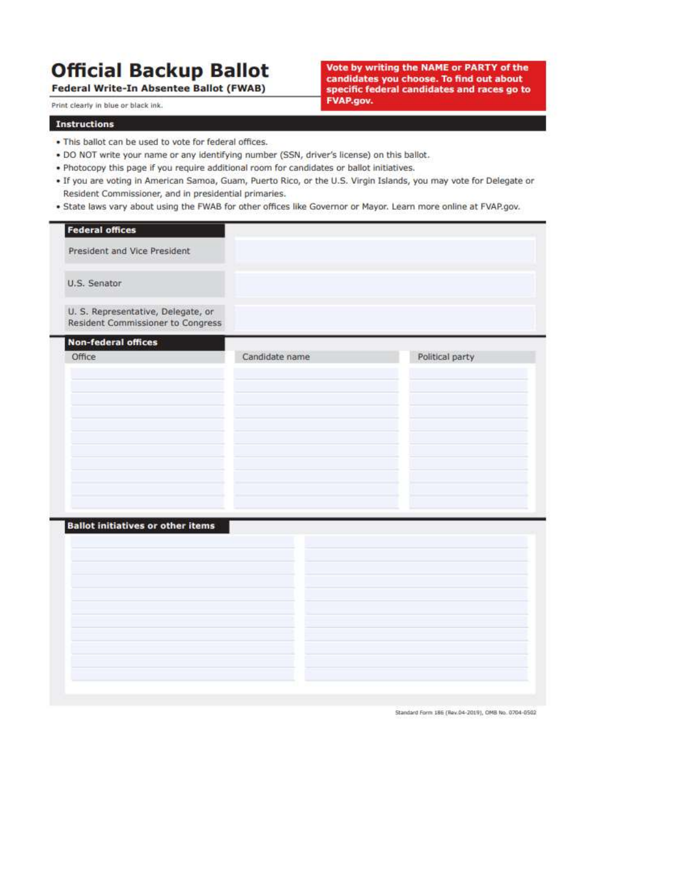# **Official Backup Ballot**

Federal Write-In Absentee Ballot (FWAB)

Print clearly in blue or black ink.

Vote by writing the NAME or PARTY of the candidates you choose. To find out about specific federal candidates and races go to **FVAP.gov.** 

#### **Instructions**

- . This ballot can be used to vote for federal offices.
- . DO NOT write your name or any identifying number (SSN, driver's license) on this ballot.
- . Photocopy this page if you require additional room for candidates or ballot initiatives.
- . If you are voting in American Samoa, Guam, Puerto Rico, or the U.S. Virgin Islands, you may vote for Delegate or Resident Commissioner, and in presidential primaries.
- . State laws vary about using the FWAB for other offices like Governor or Mayor. Learn more online at FVAP.gov.

| <b>Federal offices</b>                                                  |                |                 |
|-------------------------------------------------------------------------|----------------|-----------------|
| President and Vice President                                            |                |                 |
| U.S. Senator                                                            |                |                 |
| U. S. Representative, Delegate, or<br>Resident Commissioner to Congress |                |                 |
| Non-federal offices                                                     |                |                 |
| Office                                                                  | Candidate name | Political party |
| <b>Ballot initiatives or other items</b>                                |                |                 |

Standard Form 186 (Rev.04-2019), OMB No. 0704-0502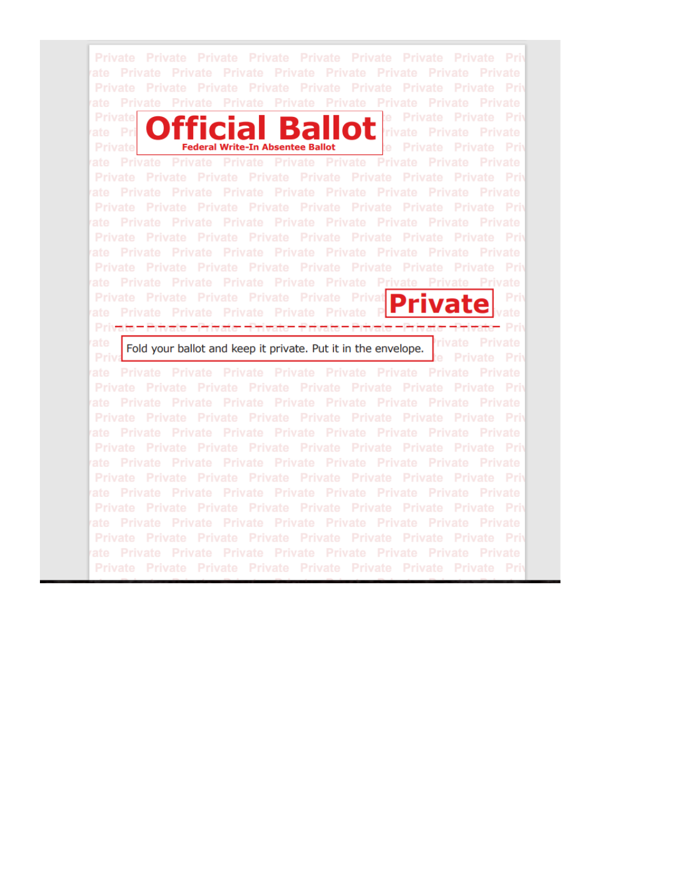ate Private Private Private Private Private Private Private Private ate Private Private Private Private Private Private Private Private e Private Private Priv **Private** OL rivate Private Private mcial ate Pri te Private Private Priv **Federal Write-In Absentee Ballot Private** ate Private Private Private Private Private Private Private Private Private Private Private Private Private Private Private Private Priv Private Private Private Private Private Private Private Private Priv ate Private Private Private Private Private Private Private Private Private Private Private Private Private Private Private Private Priv ate Private Private Private Private Private Private Private Private ate Private Private Private Private Private Private Private Private Private Private Private Private Private Private Private Private Private Pri ivate Private - Private - Private - Private - Private - Private - Private - Pri Fold your ballot and keep it private. Put it in the envelope. Priv ate Private Private Private Private Private Private Private Private Private Private Private Private Private Private Private Private Priv ate Private Private Private Private Private Private Private Private Private Private Private Private Private Private Private Private Priv Private Private Private Private Private Private Private Private Priv ate Private Private Private Private Private Private Private Private Private Private Private Private Private Private Private Private Priv ate Private Private Private Private Private Private Private Private Private Private Private Private Private Private Private Private Priv Private Private Private Private Private Private Private Private Priv Private Private Private Private Private Private Private Private Priv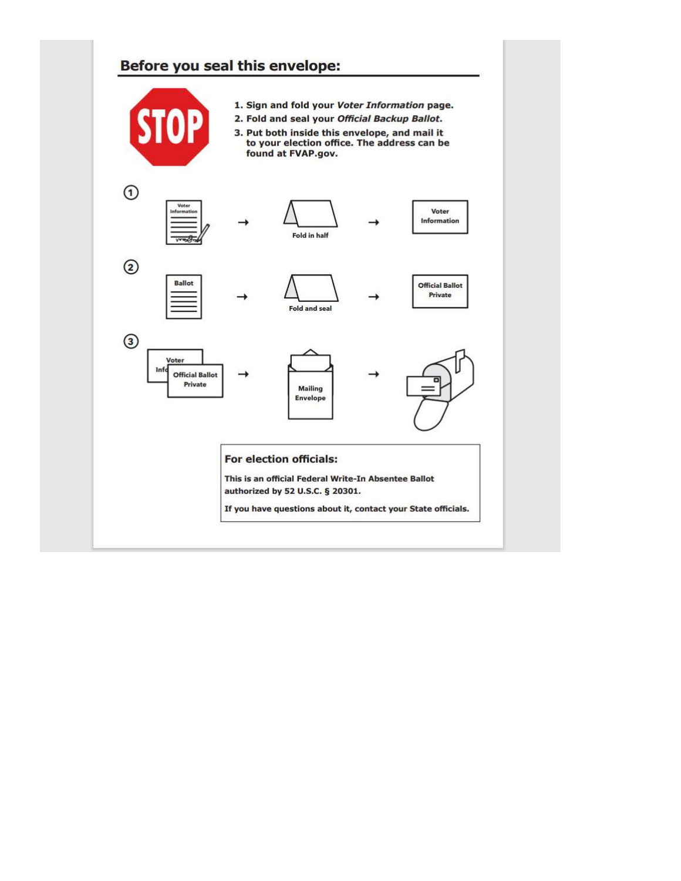